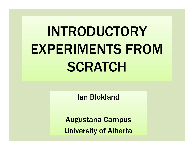# INTRODUCTORY EXPERIMENTS FROM SCRATCH

Ian Blokland

Augustana Campus

University of Alberta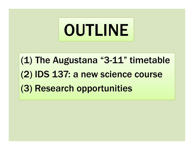

(1) The Augustana "3-11" timetable (2) IDS 137: a new science course (3) Research opportunities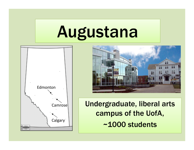# Augustana





Undergraduate, liberal arts campus of the UofA, ~1000 students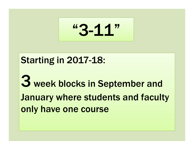"3-11"

#### Starting in 2017-18:

3 week blocks in September and January where students and faculty only have one course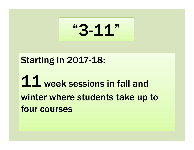"3-11"

#### Starting in 2017-18:

## 11 week sessions in fall and winter where students take up to four courses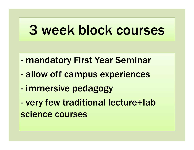## 3 week block courses

- mandatory First Year Seminar
- allow off campus experiences
- immersive pedagogy
- very few traditional lecture+lab science courses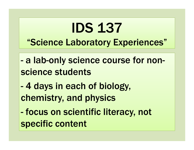## IDS 137"Science Laboratory Experiences"

- a lab-only science course for nonscience students
- 4 days in each of biology, chemistry, and physics
- focus on scientific literacy, not specific content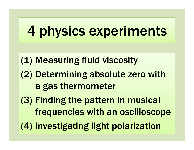## 4 physics experiments

(1) Measuring fluid viscosity

- (2) Determining absolute zero with a gas thermometer
- (3) Finding the pattern in musical frequencies with an oscilloscope
- (4) Investigating light polarization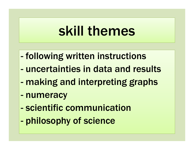## skill themes

- following written instructions
- uncertainties in data and results
- making and interpreting graphs
- numeracy
- scientific communication
- philosophy of science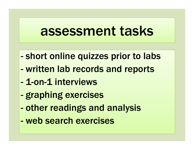### assessment tasks

- short online quizzes prior to labs
- written lab records and reports
- 1-on-1 interviews
- graphing exercises
- other readings and analysis
- web search exercises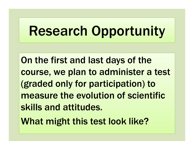## Research Opportunity

On the first and last days of the course, we plan to administer a test (graded only for participation) to measure the evolution of scientific skills and attitudes.

What might this test look like?